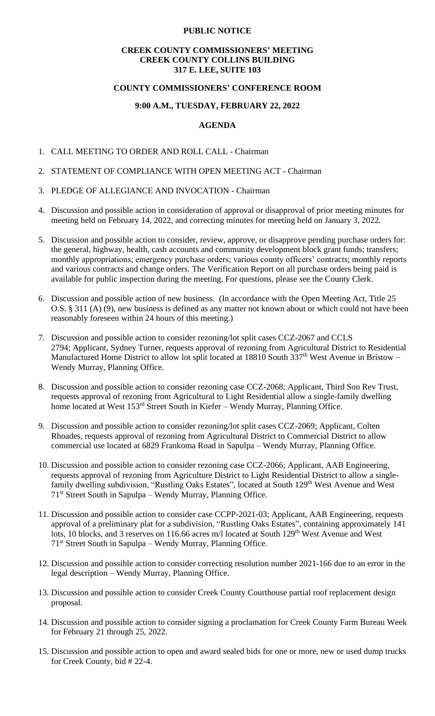### **PUBLIC NOTICE**

### **CREEK COUNTY COMMISSIONERS' MEETING CREEK COUNTY COLLINS BUILDING 317 E. LEE, SUITE 103**

### **COUNTY COMMISSIONERS' CONFERENCE ROOM**

## **9:00 A.M., TUESDAY, FEBRUARY 22, 2022**

### **AGENDA**

- 1. CALL MEETING TO ORDER AND ROLL CALL Chairman
- 2. STATEMENT OF COMPLIANCE WITH OPEN MEETING ACT Chairman
- 3. PLEDGE OF ALLEGIANCE AND INVOCATION Chairman
- 4. Discussion and possible action in consideration of approval or disapproval of prior meeting minutes for meeting held on February 14, 2022, and correcting minutes for meeting held on January 3, 2022.
- 5. Discussion and possible action to consider, review, approve, or disapprove pending purchase orders for: the general, highway, health, cash accounts and community development block grant funds; transfers; monthly appropriations; emergency purchase orders; various county officers' contracts; monthly reports and various contracts and change orders. The Verification Report on all purchase orders being paid is available for public inspection during the meeting. For questions, please see the County Clerk.
- 6. Discussion and possible action of new business. (In accordance with the Open Meeting Act, Title 25 O.S. § 311 (A) (9), new business is defined as any matter not known about or which could not have been reasonably foreseen within 24 hours of this meeting.)
- 7. Discussion and possible action to consider rezoning/lot split cases CCZ-2067 and CCLS 2794; Applicant, Sydney Turner, requests approval of rezoning from Agricultural District to Residential Manufactured Home District to allow lot split located at  $18810$  South  $337<sup>th</sup>$  West Avenue in Bristow – Wendy Murray, Planning Office.
- 8. Discussion and possible action to consider rezoning case CCZ-2068; Applicant, Third Son Rev Trust, requests approval of rezoning from Agricultural to Light Residential allow a single-family dwelling home located at West 153<sup>rd</sup> Street South in Kiefer – Wendy Murray, Planning Office.
- 9. Discussion and possible action to consider rezoning/lot split cases CCZ-2069; Applicant, Colten Rhoades, requests approval of rezoning from Agricultural District to Commercial District to allow commercial use located at 6829 Frankoma Road in Sapulpa – Wendy Murray, Planning Office.
- 10. Discussion and possible action to consider rezoning case CCZ-2066; Applicant, AAB Engineering, requests approval of rezoning from Agriculture District to Light Residential District to allow a singlefamily dwelling subdivision, "Rustling Oaks Estates", located at South 129<sup>th</sup> West Avenue and West 71st Street South in Sapulpa – Wendy Murray, Planning Office.
- 11. Discussion and possible action to consider case CCPP-2021-03; Applicant, AAB Engineering, requests approval of a preliminary plat for a subdivision, "Rustling Oaks Estates", containing approximately 141 lots, 10 blocks, and 3 reserves on 116.66 acres m/l located at South 129<sup>th</sup> West Avenue and West 71st Street South in Sapulpa – Wendy Murray, Planning Office.
- 12. Discussion and possible action to consider correcting resolution number 2021-166 due to an error in the legal description – Wendy Murray, Planning Office.
- 13. Discussion and possible action to consider Creek County Courthouse partial roof replacement design proposal.
- 14. Discussion and possible action to consider signing a proclamation for Creek County Farm Bureau Week for February 21 through 25, 2022.
- 15. Discussion and possible action to open and award sealed bids for one or more, new or used dump trucks for Creek County, bid # 22-4.